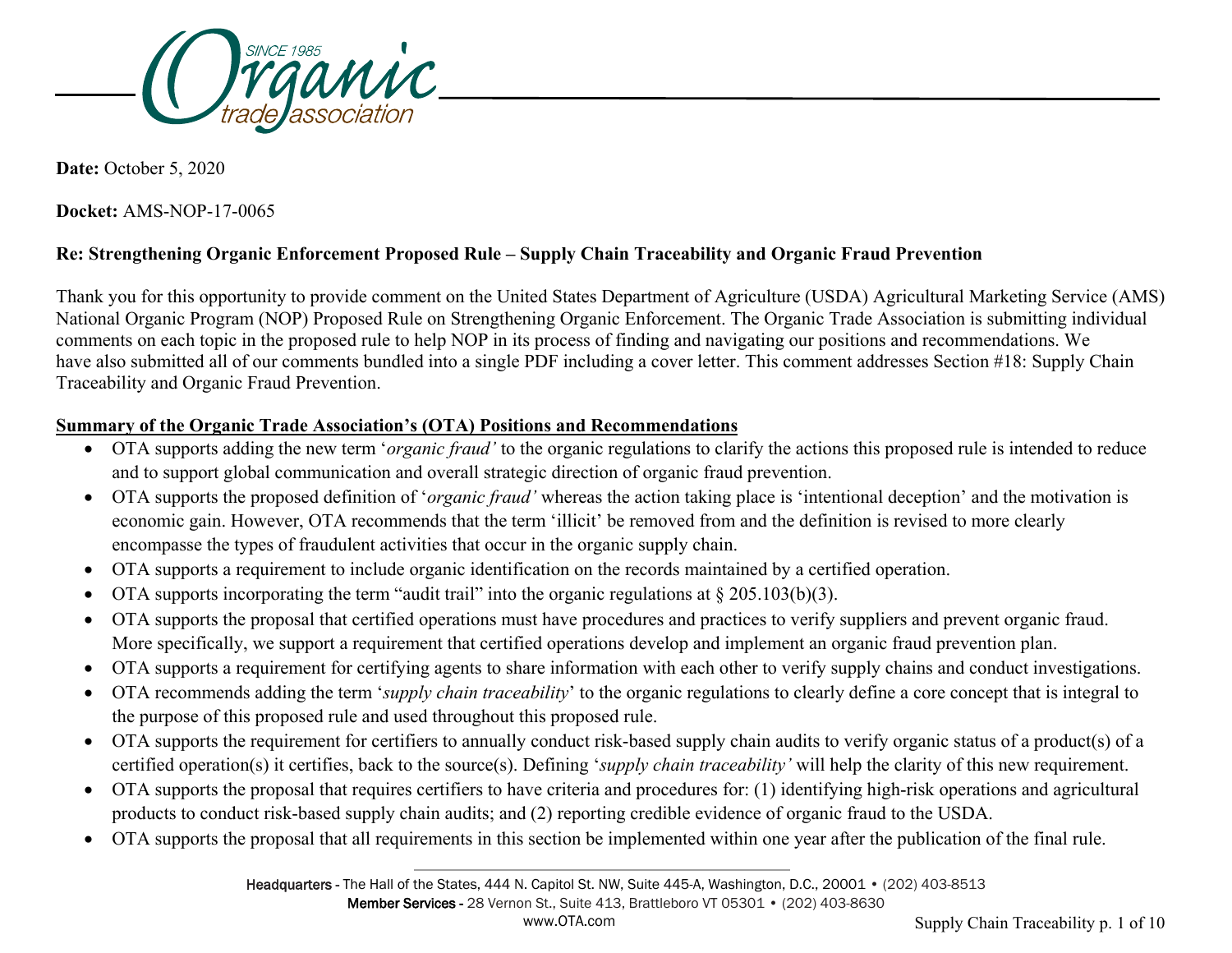

**Date:** October 5, 2020

**Docket:** AMS-NOP-17-0065

# **Re: Strengthening Organic Enforcement Proposed Rule – Supply Chain Traceability and Organic Fraud Prevention**

Thank you for this opportunity to provide comment on the United States Department of Agriculture (USDA) Agricultural Marketing Service (AMS) National Organic Program (NOP) Proposed Rule on Strengthening Organic Enforcement. The Organic Trade Association is submitting individual comments on each topic in the proposed rule to help NOP in its process of finding and navigating our positions and recommendations. We have also submitted all of our comments bundled into a single PDF including a cover letter. This comment addresses Section #18: Supply Chain Traceability and Organic Fraud Prevention.

#### **Summary of the Organic Trade Association's (OTA) Positions and Recommendations**

- OTA supports adding the new term '*organic fraud'* to the organic regulations to clarify the actions this proposed rule is intended to reduce and to support global communication and overall strategic direction of organic fraud prevention.
- OTA supports the proposed definition of '*organic fraud'* whereas the action taking place is 'intentional deception' and the motivation is economic gain. However, OTA recommends that the term 'illicit' be removed from and the definition is revised to more clearly encompasse the types of fraudulent activities that occur in the organic supply chain.
- OTA supports a requirement to include organic identification on the records maintained by a certified operation.
- OTA supports incorporating the term "audit trail" into the organic regulations at  $\S 205.103(b)(3)$ .
- OTA supports the proposal that certified operations must have procedures and practices to verify suppliers and prevent organic fraud. More specifically, we support a requirement that certified operations develop and implement an organic fraud prevention plan.
- OTA supports a requirement for certifying agents to share information with each other to verify supply chains and conduct investigations.
- OTA recommends adding the term '*supply chain traceability*' to the organic regulations to clearly define a core concept that is integral to the purpose of this proposed rule and used throughout this proposed rule.
- OTA supports the requirement for certifiers to annually conduct risk-based supply chain audits to verify organic status of a product(s) of a certified operation(s) it certifies, back to the source(s). Defining '*supply chain traceability'* will help the clarity of this new requirement.
- OTA supports the proposal that requires certifiers to have criteria and procedures for: (1) identifying high-risk operations and agricultural products to conduct risk-based supply chain audits; and (2) reporting credible evidence of organic fraud to the USDA.
- OTA supports the proposal that all requirements in this section be implemented within one year after the publication of the final rule.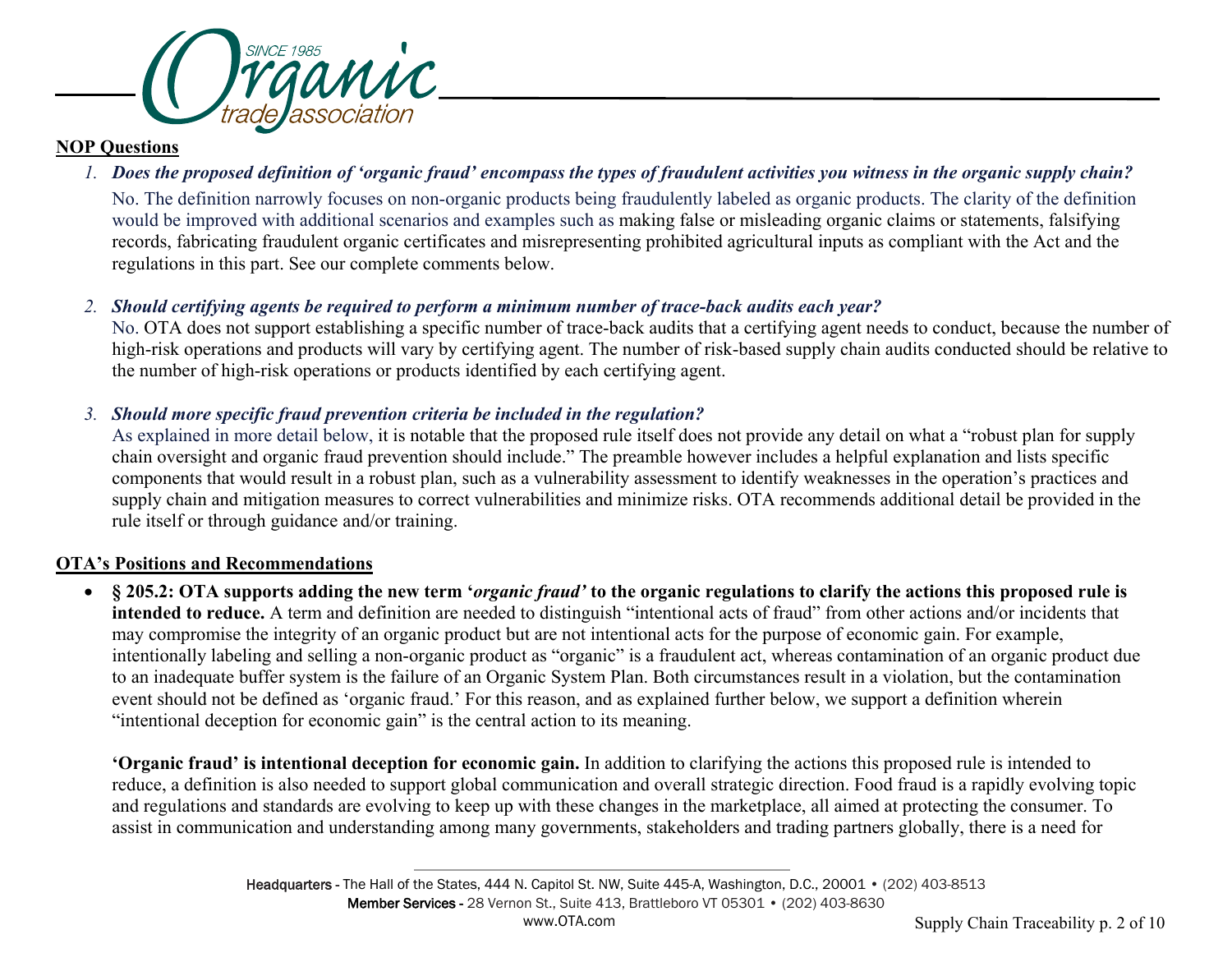

#### **NOP Questions**

## *1. Does the proposed definition of 'organic fraud' encompass the types of fraudulent activities you witness in the organic supply chain?*

No. The definition narrowly focuses on non-organic products being fraudulently labeled as organic products. The clarity of the definition would be improved with additional scenarios and examples such as making false or misleading organic claims or statements, falsifying records, fabricating fraudulent organic certificates and misrepresenting prohibited agricultural inputs as compliant with the Act and the regulations in this part. See our complete comments below.

## *2. Should certifying agents be required to perform a minimum number of trace-back audits each year?*

No. OTA does not support establishing a specific number of trace-back audits that a certifying agent needs to conduct, because the number of high-risk operations and products will vary by certifying agent. The number of risk-based supply chain audits conducted should be relative to the number of high-risk operations or products identified by each certifying agent.

## *3. Should more specific fraud prevention criteria be included in the regulation?*

As explained in more detail below, it is notable that the proposed rule itself does not provide any detail on what a "robust plan for supply chain oversight and organic fraud prevention should include." The preamble however includes a helpful explanation and lists specific components that would result in a robust plan, such as a vulnerability assessment to identify weaknesses in the operation's practices and supply chain and mitigation measures to correct vulnerabilities and minimize risks. OTA recommends additional detail be provided in the rule itself or through guidance and/or training.

## **OTA's Positions and Recommendations**

• **§ 205.2: OTA supports adding the new term '***organic fraud'* **to the organic regulations to clarify the actions this proposed rule is intended to reduce.** A term and definition are needed to distinguish "intentional acts of fraud" from other actions and/or incidents that may compromise the integrity of an organic product but are not intentional acts for the purpose of economic gain. For example, intentionally labeling and selling a non-organic product as "organic" is a fraudulent act, whereas contamination of an organic product due to an inadequate buffer system is the failure of an Organic System Plan. Both circumstances result in a violation, but the contamination event should not be defined as 'organic fraud.' For this reason, and as explained further below, we support a definition wherein "intentional deception for economic gain" is the central action to its meaning.

**'Organic fraud' is intentional deception for economic gain.** In addition to clarifying the actions this proposed rule is intended to reduce, a definition is also needed to support global communication and overall strategic direction. Food fraud is a rapidly evolving topic and regulations and standards are evolving to keep up with these changes in the marketplace, all aimed at protecting the consumer. To assist in communication and understanding among many governments, stakeholders and trading partners globally, there is a need for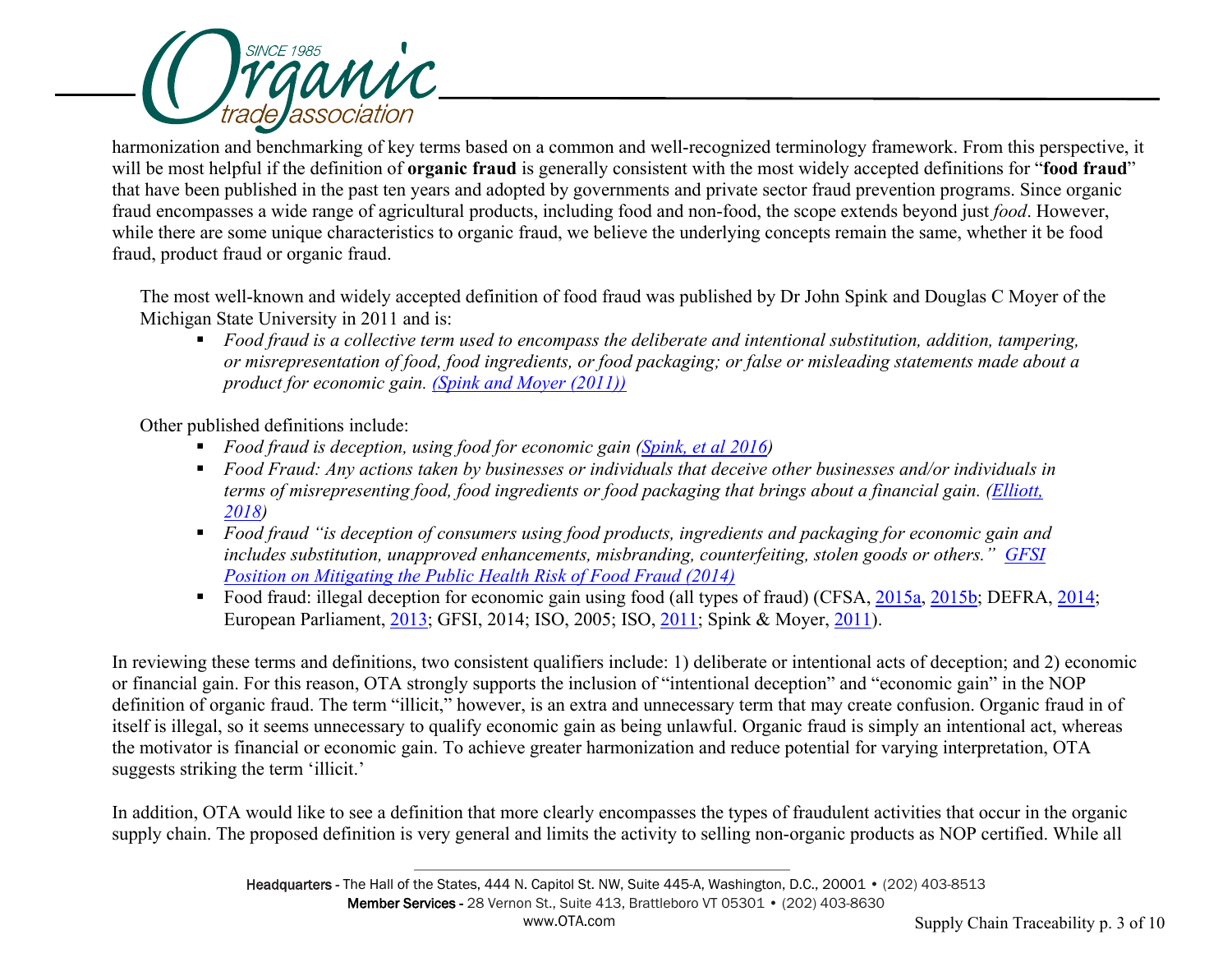

harmonization and benchmarking of key terms based on a common and well-recognized terminology framework. From this perspective, it will be most helpful if the definition of **organic fraud** is generally consistent with the most widely accepted definitions for "**food fraud**" that have been published in the past ten years and adopted by governments and private sector fraud prevention programs. Since organic fraud encompasses a wide range of agricultural products, including food and non-food, the scope extends beyond just *food*. However, while there are some unique characteristics to organic fraud, we believe the underlying concepts remain the same, whether it be food fraud, product fraud or organic fraud.

The most well-known and widely accepted definition of food fraud was published by Dr John Spink and Douglas C Moyer of the Michigan State University in 2011 and is:

■ *Food fraud is a collective term used to encompass the deliberate and intentional substitution, addition, tampering, or misrepresentation of food, food ingredients, or food packaging; or false or misleading statements made about a product for economic gain. [\(Spink and Moyer \(2011\)\)](http://onlinelibrary.wiley.com/doi/10.1111/j.1750-3841.2011.02417.x/abstract)*

Other published definitions include:

- **Food fraud is deception, using food for economic gain [\(Spink, et al 2016\)](https://www.sciencedirect.com/science/article/pii/S0956713516301219)**
- *Food Fraud: Any actions taken by businesses or individuals that deceive other businesses and/or individuals in terms of misrepresenting food, food ingredients or food packaging that brings about a financial gain. [\(Elliott,](https://webinars.newfoodmagazine.com/the-seven-sins-of-seafood)  [2018\)](https://webinars.newfoodmagazine.com/the-seven-sins-of-seafood)*
- *Food fraud "is deception of consumers using food products, ingredients and packaging for economic gain and includes substitution, unapproved enhancements, misbranding, counterfeiting, stolen goods or others." [GFSI](http://www.mygfsi.com/images/mygfsi/gfsifiles/July_2014_-_GFSI_Position_Paper_-_Mitigating_the_Impact_of_Food_Fraud.pdf)  [Position on Mitigating the Public Health Risk of Food Fraud \(2014\)](http://www.mygfsi.com/images/mygfsi/gfsifiles/July_2014_-_GFSI_Position_Paper_-_Mitigating_the_Impact_of_Food_Fraud.pdf)*
- Food fraud: illegal deception for economic gain using food (all types of fraud) (CFSA, [2015a,](https://onlinelibrary.wiley.com/doi/full/10.1111/1750-3841.14705#jfds14705-bib-0002) [2015b;](https://onlinelibrary.wiley.com/doi/full/10.1111/1750-3841.14705#jfds14705-bib-0003) DEFRA, [2014;](https://onlinelibrary.wiley.com/doi/full/10.1111/1750-3841.14705#jfds14705-bib-0007) European Parliament, [2013;](https://onlinelibrary.wiley.com/doi/full/10.1111/1750-3841.14705#jfds14705-bib-0009) GFSI, 2014; ISO, 2005; ISO, [2011;](https://onlinelibrary.wiley.com/doi/full/10.1111/1750-3841.14705#jfds14705-bib-0023) Spink & Moyer, [2011\)](https://onlinelibrary.wiley.com/doi/full/10.1111/1750-3841.14705#jfds14705-bib-0034).

In reviewing these terms and definitions, two consistent qualifiers include: 1) deliberate or intentional acts of deception; and 2) economic or financial gain. For this reason, OTA strongly supports the inclusion of "intentional deception" and "economic gain" in the NOP definition of organic fraud. The term "illicit," however, is an extra and unnecessary term that may create confusion. Organic fraud in of itself is illegal, so it seems unnecessary to qualify economic gain as being unlawful. Organic fraud is simply an intentional act, whereas the motivator is financial or economic gain. To achieve greater harmonization and reduce potential for varying interpretation, OTA suggests striking the term 'illicit.'

In addition, OTA would like to see a definition that more clearly encompasses the types of fraudulent activities that occur in the organic supply chain. The proposed definition is very general and limits the activity to selling non-organic products as NOP certified. While all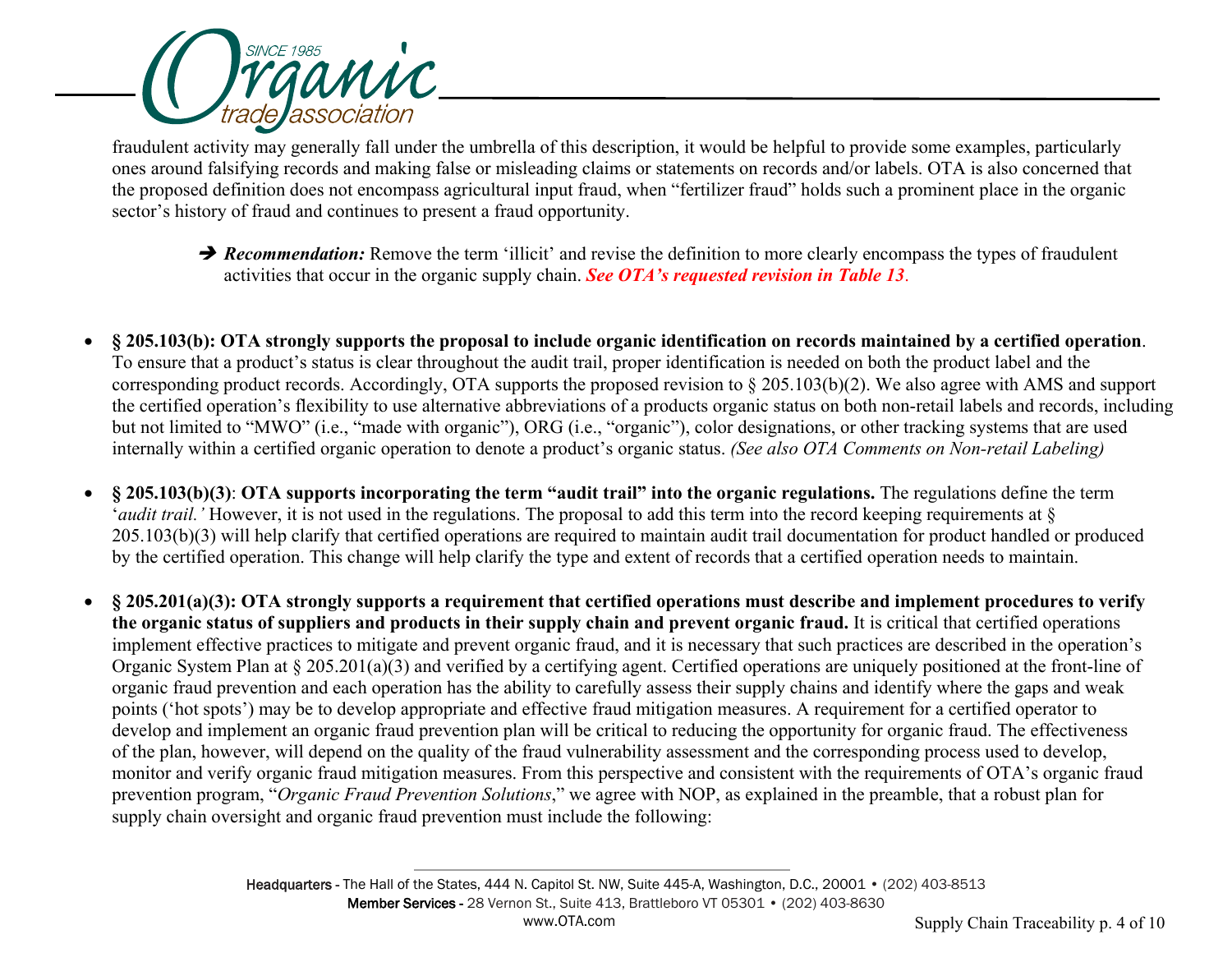

fraudulent activity may generally fall under the umbrella of this description, it would be helpful to provide some examples, particularly ones around falsifying records and making false or misleading claims or statements on records and/or labels. OTA is also concerned that the proposed definition does not encompass agricultural input fraud, when "fertilizer fraud" holds such a prominent place in the organic sector's history of fraud and continues to present a fraud opportunity.

- **→ Recommendation:** Remove the term 'illicit' and revise the definition to more clearly encompass the types of fraudulent activities that occur in the organic supply chain. *See OTA's requested revision in Table 13*.
- **§ 205.103(b): OTA strongly supports the proposal to include organic identification on records maintained by a certified operation**. To ensure that a product's status is clear throughout the audit trail, proper identification is needed on both the product label and the corresponding product records. Accordingly, OTA supports the proposed revision to § 205.103(b)(2). We also agree with AMS and support the certified operation's flexibility to use alternative abbreviations of a products organic status on both non-retail labels and records, including but not limited to "MWO" (i.e., "made with organic"), ORG (i.e., "organic"), color designations, or other tracking systems that are used internally within a certified organic operation to denote a product's organic status. *(See also OTA Comments on Non-retail Labeling)*
- **§ 205.103(b)(3)**: **OTA supports incorporating the term "audit trail" into the organic regulations.** The regulations define the term '*audit trail.*' However, it is not used in the regulations. The proposal to add this term into the record keeping requirements at § 205.103(b)(3) will help clarify that certified operations are required to maintain audit trail documentation for product handled or produced by the certified operation. This change will help clarify the type and extent of records that a certified operation needs to maintain.
- **§ 205.201(a)(3): OTA strongly supports a requirement that certified operations must describe and implement procedures to verify the organic status of suppliers and products in their supply chain and prevent organic fraud.** It is critical that certified operations implement effective practices to mitigate and prevent organic fraud, and it is necessary that such practices are described in the operation's Organic System Plan at § 205.201(a)(3) and verified by a certifying agent. Certified operations are uniquely positioned at the front-line of organic fraud prevention and each operation has the ability to carefully assess their supply chains and identify where the gaps and weak points ('hot spots') may be to develop appropriate and effective fraud mitigation measures. A requirement for a certified operator to develop and implement an organic fraud prevention plan will be critical to reducing the opportunity for organic fraud. The effectiveness of the plan, however, will depend on the quality of the fraud vulnerability assessment and the corresponding process used to develop, monitor and verify organic fraud mitigation measures. From this perspective and consistent with the requirements of OTA's organic fraud prevention program, "*Organic Fraud Prevention Solutions*," we agree with NOP, as explained in the preamble, that a robust plan for supply chain oversight and organic fraud prevention must include the following: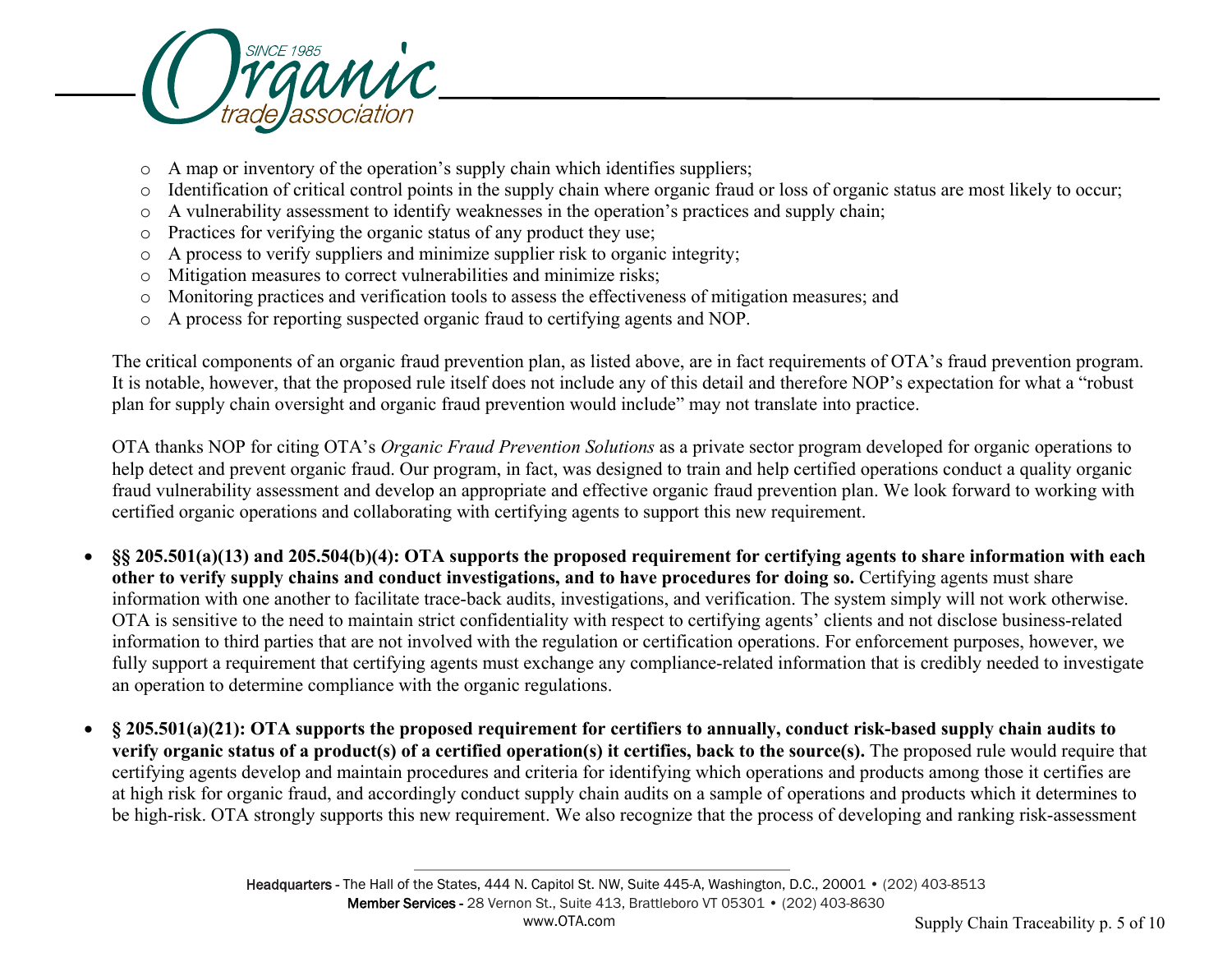

- o A map or inventory of the operation's supply chain which identifies suppliers;
- o Identification of critical control points in the supply chain where organic fraud or loss of organic status are most likely to occur;
- o A vulnerability assessment to identify weaknesses in the operation's practices and supply chain;
- o Practices for verifying the organic status of any product they use;
- o A process to verify suppliers and minimize supplier risk to organic integrity;
- o Mitigation measures to correct vulnerabilities and minimize risks;
- o Monitoring practices and verification tools to assess the effectiveness of mitigation measures; and
- o A process for reporting suspected organic fraud to certifying agents and NOP.

The critical components of an organic fraud prevention plan, as listed above, are in fact requirements of OTA's fraud prevention program. It is notable, however, that the proposed rule itself does not include any of this detail and therefore NOP's expectation for what a "robust plan for supply chain oversight and organic fraud prevention would include" may not translate into practice.

OTA thanks NOP for citing OTA's *Organic Fraud Prevention Solutions* as a private sector program developed for organic operations to help detect and prevent organic fraud. Our program, in fact, was designed to train and help certified operations conduct a quality organic fraud vulnerability assessment and develop an appropriate and effective organic fraud prevention plan. We look forward to working with certified organic operations and collaborating with certifying agents to support this new requirement.

- **§§ 205.501(a)(13) and 205.504(b)(4): OTA supports the proposed requirement for certifying agents to share information with each**  other to verify supply chains and conduct investigations, and to have procedures for doing so. Certifying agents must share information with one another to facilitate trace-back audits, investigations, and verification. The system simply will not work otherwise. OTA is sensitive to the need to maintain strict confidentiality with respect to certifying agents' clients and not disclose business-related information to third parties that are not involved with the regulation or certification operations. For enforcement purposes, however, we fully support a requirement that certifying agents must exchange any compliance-related information that is credibly needed to investigate an operation to determine compliance with the organic regulations.
- **§ 205.501(a)(21): OTA supports the proposed requirement for certifiers to annually, conduct risk-based supply chain audits to verify organic status of a product(s) of a certified operation(s) it certifies, back to the source(s).** The proposed rule would require that certifying agents develop and maintain procedures and criteria for identifying which operations and products among those it certifies are at high risk for organic fraud, and accordingly conduct supply chain audits on a sample of operations and products which it determines to be high-risk. OTA strongly supports this new requirement. We also recognize that the process of developing and ranking risk-assessment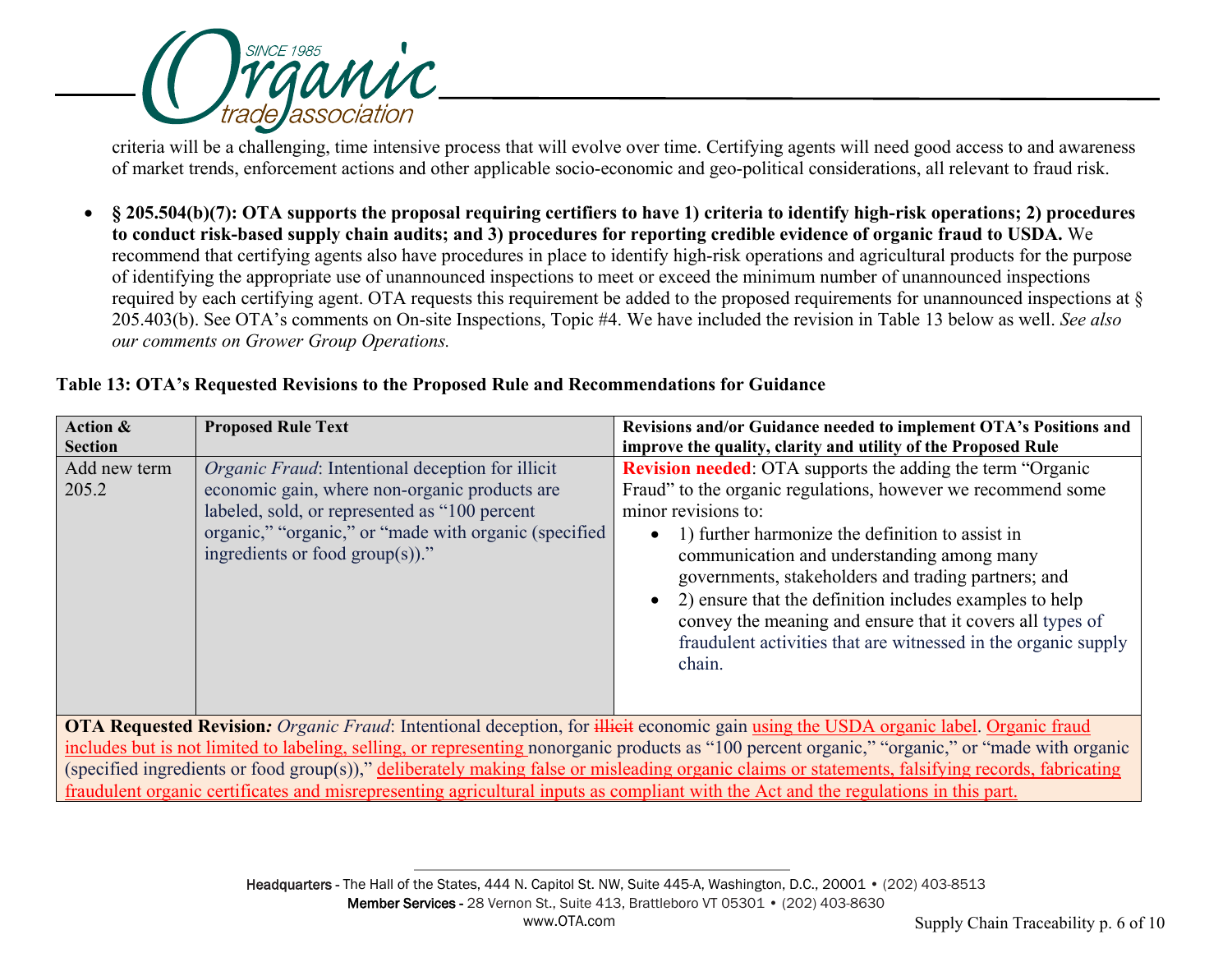

criteria will be a challenging, time intensive process that will evolve over time. Certifying agents will need good access to and awareness of market trends, enforcement actions and other applicable socio-economic and geo-political considerations, all relevant to fraud risk.

• **§ 205.504(b)(7): OTA supports the proposal requiring certifiers to have 1) criteria to identify high-risk operations; 2) procedures to conduct risk-based supply chain audits; and 3) procedures for reporting credible evidence of organic fraud to USDA.** We recommend that certifying agents also have procedures in place to identify high-risk operations and agricultural products for the purpose of identifying the appropriate use of unannounced inspections to meet or exceed the minimum number of unannounced inspections required by each certifying agent. OTA requests this requirement be added to the proposed requirements for unannounced inspections at § 205.403(b). See OTA's comments on On-site Inspections, Topic #4. We have included the revision in Table 13 below as well. *See also our comments on Grower Group Operations.* 

|  |  | Table 13: OTA's Requested Revisions to the Proposed Rule and Recommendations for Guidance |  |
|--|--|-------------------------------------------------------------------------------------------|--|
|  |  |                                                                                           |  |

| Action &                                                                                                                                         | <b>Proposed Rule Text</b>                                                                                                                                                                                                                                | Revisions and/or Guidance needed to implement OTA's Positions and                                                                                                                                                                                                                                                                                                                                                                                                                                                                   |  |  |
|--------------------------------------------------------------------------------------------------------------------------------------------------|----------------------------------------------------------------------------------------------------------------------------------------------------------------------------------------------------------------------------------------------------------|-------------------------------------------------------------------------------------------------------------------------------------------------------------------------------------------------------------------------------------------------------------------------------------------------------------------------------------------------------------------------------------------------------------------------------------------------------------------------------------------------------------------------------------|--|--|
| <b>Section</b>                                                                                                                                   |                                                                                                                                                                                                                                                          | improve the quality, clarity and utility of the Proposed Rule                                                                                                                                                                                                                                                                                                                                                                                                                                                                       |  |  |
| Add new term<br>205.2                                                                                                                            | <i>Organic Fraud:</i> Intentional deception for illicit<br>economic gain, where non-organic products are<br>labeled, sold, or represented as "100 percent<br>organic," "organic," or "made with organic (specified<br>ingredients or food $group(s))$ ." | <b>Revision needed:</b> OTA supports the adding the term "Organic"<br>Fraud" to the organic regulations, however we recommend some<br>minor revisions to:<br>1) further harmonize the definition to assist in<br>$\bullet$<br>communication and understanding among many<br>governments, stakeholders and trading partners; and<br>2) ensure that the definition includes examples to help<br>convey the meaning and ensure that it covers all types of<br>fraudulent activities that are witnessed in the organic supply<br>chain. |  |  |
| OTA Requested Revision: Organic Fraud: Intentional deception, for illiest economic gain using the USDA organic label. Organic fraud              |                                                                                                                                                                                                                                                          |                                                                                                                                                                                                                                                                                                                                                                                                                                                                                                                                     |  |  |
| includes but is not limited to labeling, selling, or representing nonorganic products as "100 percent organic," "organic," or "made with organic |                                                                                                                                                                                                                                                          |                                                                                                                                                                                                                                                                                                                                                                                                                                                                                                                                     |  |  |
| (specified ingredients or food group(s))," deliberately making false or misleading organic claims or statements, falsifying records, fabricating |                                                                                                                                                                                                                                                          |                                                                                                                                                                                                                                                                                                                                                                                                                                                                                                                                     |  |  |

fraudulent organic certificates and misrepresenting agricultural inputs as compliant with the Act and the regulations in this part.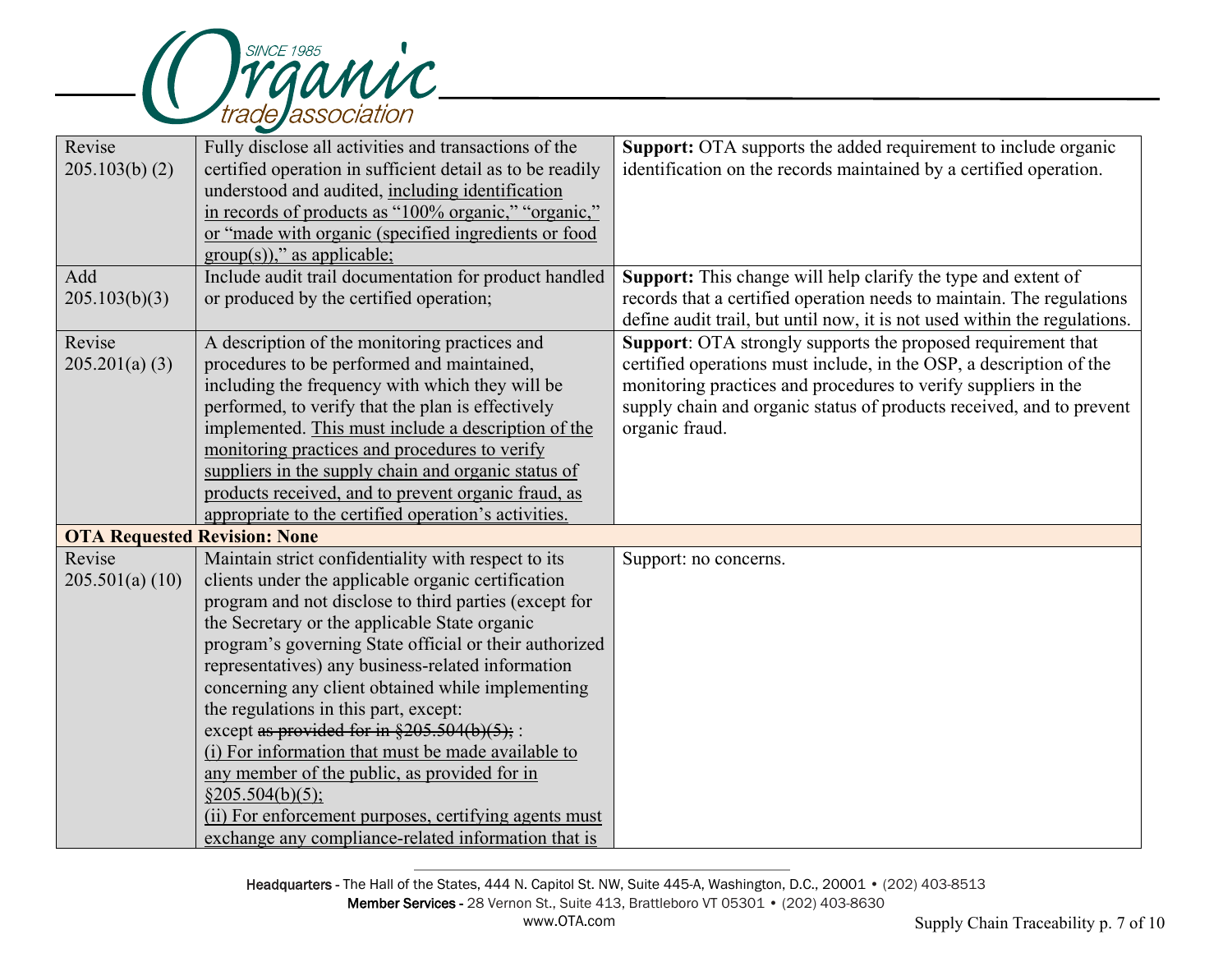

| Revise                              | Fully disclose all activities and transactions of the     | <b>Support:</b> OTA supports the added requirement to include organic     |
|-------------------------------------|-----------------------------------------------------------|---------------------------------------------------------------------------|
| 205.103(b) (2)                      | certified operation in sufficient detail as to be readily | identification on the records maintained by a certified operation.        |
|                                     | understood and audited, including identification          |                                                                           |
|                                     | in records of products as "100% organic," "organic,"      |                                                                           |
|                                     | or "made with organic (specified ingredients or food      |                                                                           |
|                                     | $group(s)),$ " as applicable;                             |                                                                           |
| Add                                 | Include audit trail documentation for product handled     | <b>Support:</b> This change will help clarify the type and extent of      |
| 205.103(b)(3)                       | or produced by the certified operation;                   | records that a certified operation needs to maintain. The regulations     |
|                                     |                                                           | define audit trail, but until now, it is not used within the regulations. |
| Revise                              | A description of the monitoring practices and             | Support: OTA strongly supports the proposed requirement that              |
| 205.201(a) (3)                      | procedures to be performed and maintained,                | certified operations must include, in the OSP, a description of the       |
|                                     | including the frequency with which they will be           | monitoring practices and procedures to verify suppliers in the            |
|                                     | performed, to verify that the plan is effectively         | supply chain and organic status of products received, and to prevent      |
|                                     | implemented. This must include a description of the       | organic fraud.                                                            |
|                                     | monitoring practices and procedures to verify             |                                                                           |
|                                     | suppliers in the supply chain and organic status of       |                                                                           |
|                                     | products received, and to prevent organic fraud, as       |                                                                           |
|                                     | appropriate to the certified operation's activities.      |                                                                           |
| <b>OTA Requested Revision: None</b> |                                                           |                                                                           |
| Revise                              | Maintain strict confidentiality with respect to its       | Support: no concerns.                                                     |
| 205.501(a) (10)                     | clients under the applicable organic certification        |                                                                           |
|                                     | program and not disclose to third parties (except for     |                                                                           |
|                                     | the Secretary or the applicable State organic             |                                                                           |
|                                     | program's governing State official or their authorized    |                                                                           |
|                                     | representatives) any business-related information         |                                                                           |
|                                     | concerning any client obtained while implementing         |                                                                           |
|                                     | the regulations in this part, except:                     |                                                                           |
|                                     | except as provided for in $§205.504(b)(5);$ :             |                                                                           |
|                                     | (i) For information that must be made available to        |                                                                           |
|                                     | any member of the public, as provided for in              |                                                                           |
|                                     | §205.504(b)(5);                                           |                                                                           |
|                                     | (ii) For enforcement purposes, certifying agents must     |                                                                           |
|                                     | exchange any compliance-related information that is       |                                                                           |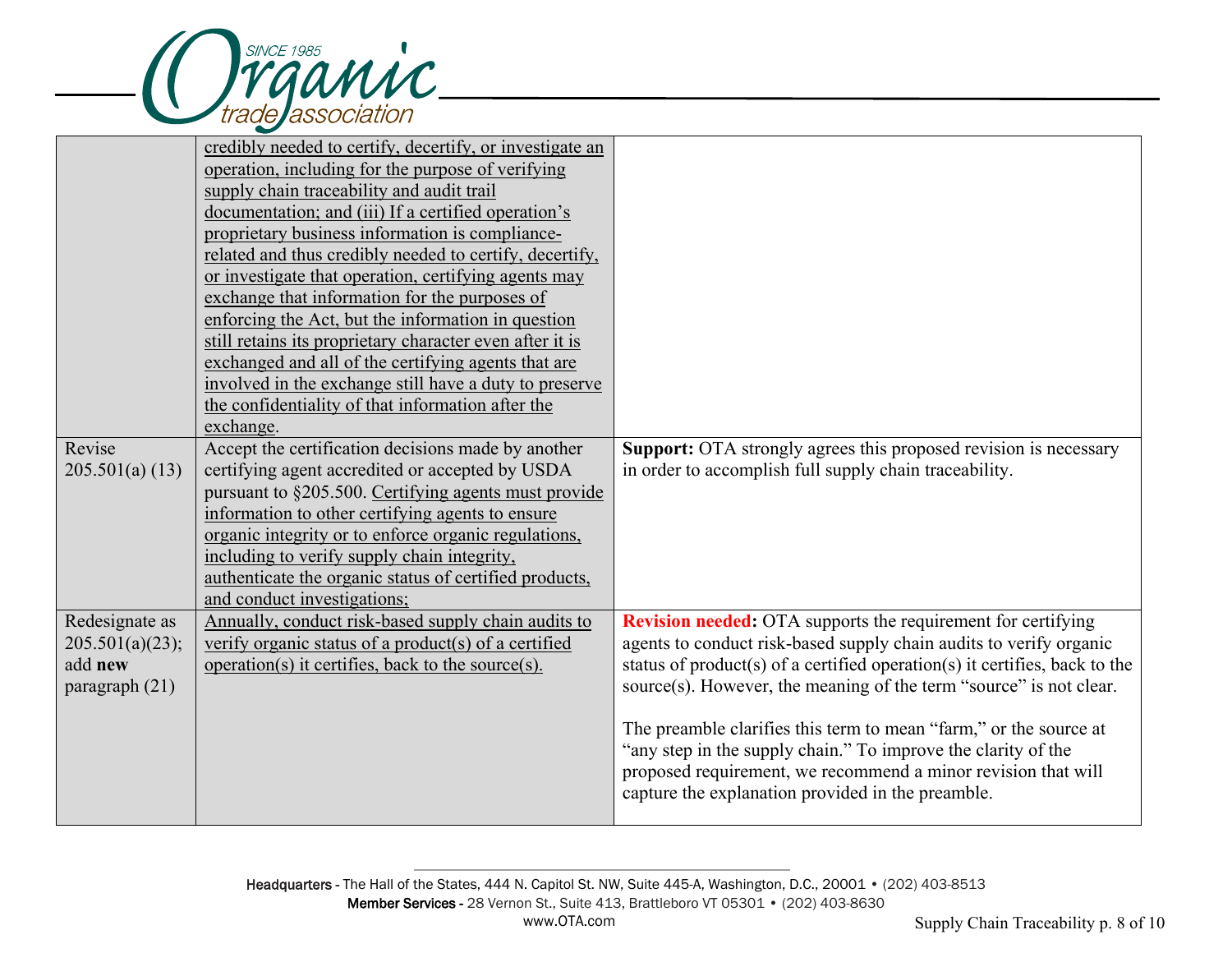

|                 | credibly needed to certify, decertify, or investigate an<br>operation, including for the purpose of verifying<br>supply chain traceability and audit trail |                                                                            |
|-----------------|------------------------------------------------------------------------------------------------------------------------------------------------------------|----------------------------------------------------------------------------|
|                 | documentation; and (iii) If a certified operation's                                                                                                        |                                                                            |
|                 | proprietary business information is compliance-<br>related and thus credibly needed to certify, decertify,                                                 |                                                                            |
|                 | or investigate that operation, certifying agents may                                                                                                       |                                                                            |
|                 | exchange that information for the purposes of                                                                                                              |                                                                            |
|                 | enforcing the Act, but the information in question                                                                                                         |                                                                            |
|                 | still retains its proprietary character even after it is                                                                                                   |                                                                            |
|                 | exchanged and all of the certifying agents that are                                                                                                        |                                                                            |
|                 | involved in the exchange still have a duty to preserve                                                                                                     |                                                                            |
|                 | the confidentiality of that information after the<br>exchange.                                                                                             |                                                                            |
| Revise          | Accept the certification decisions made by another                                                                                                         | Support: OTA strongly agrees this proposed revision is necessary           |
| 205.501(a) (13) | certifying agent accredited or accepted by USDA                                                                                                            | in order to accomplish full supply chain traceability.                     |
|                 | pursuant to §205.500. Certifying agents must provide                                                                                                       |                                                                            |
|                 | information to other certifying agents to ensure                                                                                                           |                                                                            |
|                 | organic integrity or to enforce organic regulations,                                                                                                       |                                                                            |
|                 | including to verify supply chain integrity,                                                                                                                |                                                                            |
|                 | authenticate the organic status of certified products,<br>and conduct investigations;                                                                      |                                                                            |
| Redesignate as  | Annually, conduct risk-based supply chain audits to                                                                                                        | <b>Revision needed:</b> OTA supports the requirement for certifying        |
| 205.501(a)(23); | verify organic status of a product(s) of a certified                                                                                                       | agents to conduct risk-based supply chain audits to verify organic         |
| add new         | operation(s) it certifies, back to the source(s).                                                                                                          | status of product(s) of a certified operation(s) it certifies, back to the |
| paragraph (21)  |                                                                                                                                                            | source(s). However, the meaning of the term "source" is not clear.         |
|                 |                                                                                                                                                            | The preamble clarifies this term to mean "farm," or the source at          |
|                 |                                                                                                                                                            | "any step in the supply chain." To improve the clarity of the              |
|                 |                                                                                                                                                            | proposed requirement, we recommend a minor revision that will              |
|                 |                                                                                                                                                            | capture the explanation provided in the preamble.                          |
|                 |                                                                                                                                                            |                                                                            |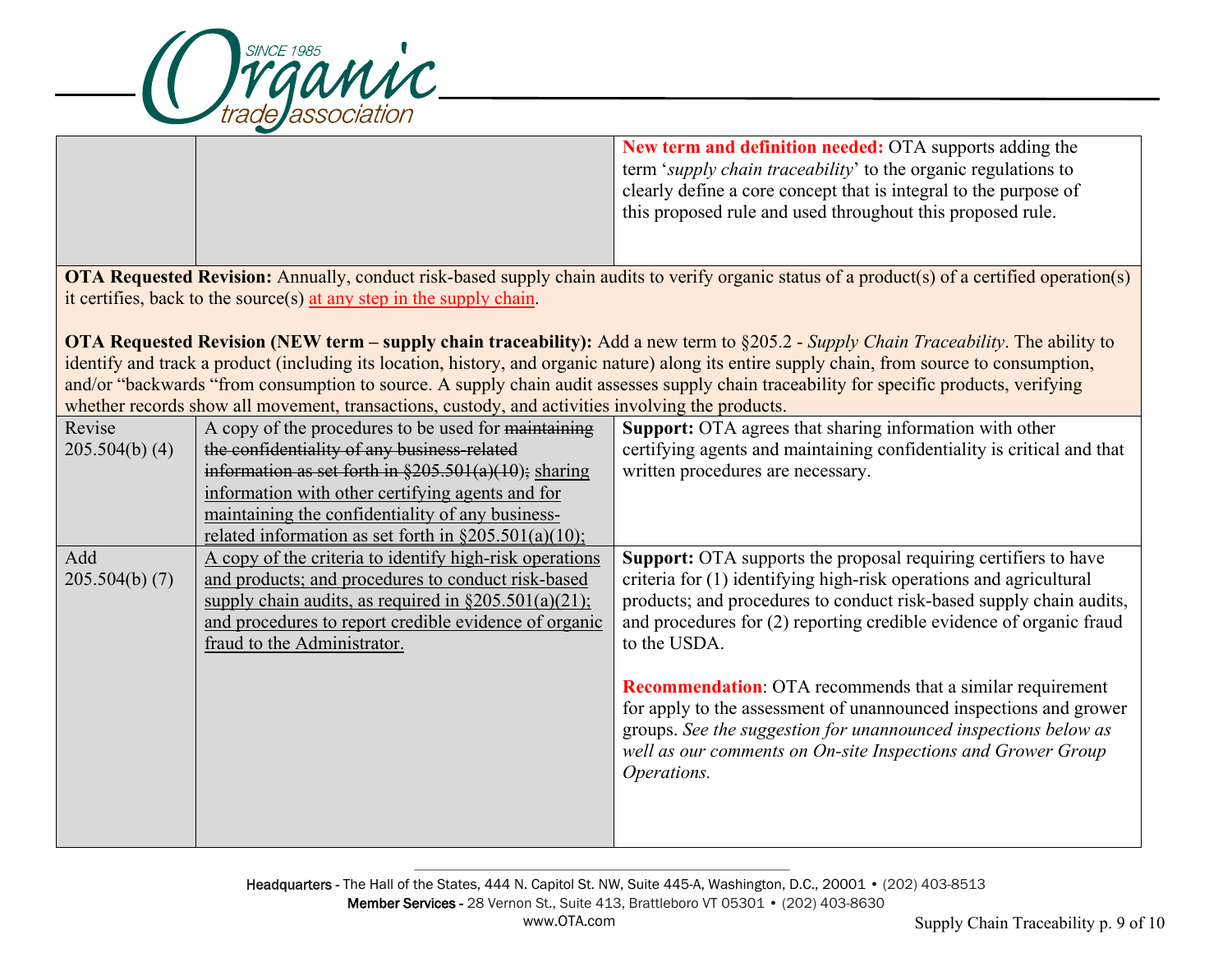

**New term and definition needed:** OTA supports adding the term '*supply chain traceability*' to the organic regulations to clearly define a core concept that is integral to the purpose of this proposed rule and used throughout this proposed rule.

**OTA Requested Revision:** Annually, conduct risk-based supply chain audits to verify organic status of a product(s) of a certified operation(s) it certifies, back to the source(s) at any step in the supply chain.

**OTA Requested Revision (NEW term – supply chain traceability):** Add a new term to §205.2 - *Supply Chain Traceability*. The ability to identify and track a product (including its location, history, and organic nature) along its entire supply chain, from source to consumption, and/or "backwards "from consumption to source. A supply chain audit assesses supply chain traceability for specific products, verifying whether records show all movement, transactions, custody, and activities involving the products.

| Revise         | A copy of the procedures to be used for maintaining       | <b>Support:</b> OTA agrees that sharing information with other         |
|----------------|-----------------------------------------------------------|------------------------------------------------------------------------|
| 205.504(b) (4) | the confidentiality of any business-related               | certifying agents and maintaining confidentiality is critical and that |
|                | information as set forth in $\S205.501(a)(10)$ ; sharing  | written procedures are necessary.                                      |
|                | information with other certifying agents and for          |                                                                        |
|                | maintaining the confidentiality of any business-          |                                                                        |
|                | related information as set forth in $\S 205.501(a)(10)$ ; |                                                                        |
| Add            | A copy of the criteria to identify high-risk operations   | Support: OTA supports the proposal requiring certifiers to have        |
| 205.504(b) (7) | and products; and procedures to conduct risk-based        | criteria for (1) identifying high-risk operations and agricultural     |
|                | supply chain audits, as required in $\S205.501(a)(21)$ ;  | products; and procedures to conduct risk-based supply chain audits,    |
|                | and procedures to report credible evidence of organic     | and procedures for (2) reporting credible evidence of organic fraud    |
|                | fraud to the Administrator.                               | to the USDA.                                                           |
|                |                                                           |                                                                        |
|                |                                                           | <b>Recommendation:</b> OTA recommends that a similar requirement       |
|                |                                                           | for apply to the assessment of unannounced inspections and grower      |
|                |                                                           | groups. See the suggestion for unannounced inspections below as        |
|                |                                                           | well as our comments on On-site Inspections and Grower Group           |
|                |                                                           | Operations.                                                            |
|                |                                                           |                                                                        |
|                |                                                           |                                                                        |
|                |                                                           |                                                                        |

Headquarters - The Hall of the States, 444 N. Capitol St. NW, Suite 445-A, Washington, D.C., 20001 • (202) 403-8513 Member Services - 28 Vernon St., Suite 413, Brattleboro VT 05301 • (202) 403-8630